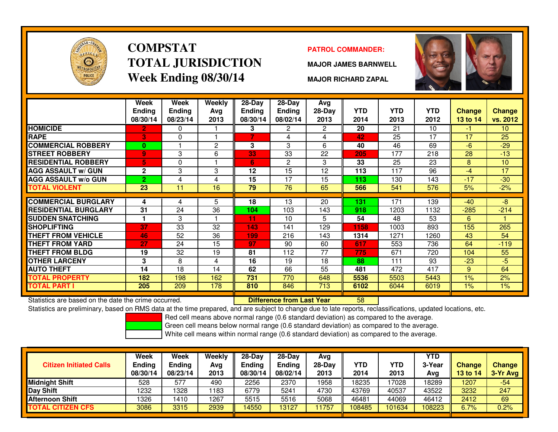

# **COMPSTATTOTAL JURISDICTIONWeek Ending 08/30/14**

### **PATROL COMMANDER:**

**MAJOR JAMES BARNWELL**



**MAJOR RICHARD ZAPAL**

|                             | Week<br>Ending<br>08/30/14 | Week<br><b>Ending</b><br>08/23/14 | Weekly<br>Ava<br>2013 | $28-Day$<br>Ending<br>08/30/14 | $28 - Day$<br><b>Ending</b><br>08/02/14 | Avg<br>$28-Day$<br>2013 | <b>YTD</b><br>2014 | <b>YTD</b><br>2013 | <b>YTD</b><br>2012 | <b>Change</b><br>13 to 14 | <b>Change</b><br>vs. 2012 |
|-----------------------------|----------------------------|-----------------------------------|-----------------------|--------------------------------|-----------------------------------------|-------------------------|--------------------|--------------------|--------------------|---------------------------|---------------------------|
| <b>HOMICIDE</b>             | $\overline{2}$             | 0                                 |                       | 3                              | 2                                       | $\mathbf{2}^{\circ}$    | 20                 | 21                 | 10                 | -1                        | 10 <sup>°</sup>           |
| <b>RAPE</b>                 | 3                          | 0                                 |                       |                                | 4                                       | 4                       | 42                 | 25                 | 17                 | 17                        | 25                        |
| <b>COMMERCIAL ROBBERY</b>   | $\bf{0}$                   |                                   | $\overline{2}$        | 3                              | 3                                       | 6                       | 40                 | 46                 | 69                 | $-6$                      | $-29$                     |
| <b>STREET ROBBERY</b>       | $\overline{9}$             | 3                                 | 6                     | 33                             | 33                                      | 22                      | 205                | 177                | 218                | 28                        | $-13$                     |
| <b>RESIDENTIAL ROBBERY</b>  | 5                          | 0                                 |                       | 6                              | 2                                       | 3                       | 33                 | 25                 | 23                 | 8                         | 10                        |
| <b>AGG ASSAULT w/ GUN</b>   | $\mathbf{2}$               | 3                                 | 3                     | 12                             | 15                                      | 12                      | 113                | 117                | 96                 | $-4$                      | 17                        |
| <b>AGG ASSAULT w/o GUN</b>  | $\overline{2}$             | 4                                 | 4                     | 15                             | 17                                      | 15                      | 113                | 130                | 143                | $-17$                     | $-30$                     |
| <b>TOTAL VIOLENT</b>        | 23                         | 11                                | 16                    | 79                             | 76                                      | 65                      | 566                | 541                | 576                | 5%                        | $-2%$                     |
| <b>COMMERCIAL BURGLARY</b>  |                            |                                   |                       | 18                             |                                         |                         | 131                | 171                |                    | $-40$                     | -8                        |
|                             | 4                          | 4                                 | 5                     |                                | 13                                      | 20                      |                    |                    | 139                |                           |                           |
| <b>RESIDENTIAL BURGLARY</b> | 31                         | 24                                | 36                    | 104                            | 103                                     | 143                     | 918                | 1203               | 1132               | $-285$                    | $-214$                    |
| <b>SUDDEN SNATCHING</b>     |                            | 3                                 |                       | 11                             | 10                                      | 5                       | 54                 | 48                 | 53                 | 6                         |                           |
| <b>SHOPLIFTING</b>          | 37                         | 33                                | 32                    | 143                            | 141                                     | 129                     | 1158               | 1003               | 893                | 155                       | 265                       |
| <b>THEFT FROM VEHICLE</b>   | 46                         | 52                                | 36                    | 199                            | 216                                     | 143                     | 1314               | 1271               | 1260               | 43                        | 54                        |
| <b>THEFT FROM YARD</b>      | 27                         | 24                                | 15                    | 97                             | 90                                      | 60                      | 617                | 553                | 736                | 64                        | $-119$                    |
| <b>THEFT FROM BLDG</b>      | 19                         | 32                                | 19                    | 81                             | 112                                     | 77                      | 775                | 671                | 720                | 104                       | 55                        |
| <b>OTHER LARCENY</b>        | 3                          | 8                                 | 4                     | 16                             | 19                                      | 18                      | 88                 | 111                | 93                 | $-23$                     | $-5$                      |
| <b>AUTO THEFT</b>           | 14                         | 18                                | 14                    | 62                             | 66                                      | 55                      | 481                | 472                | 417                | 9                         | 64                        |
| TOTAL PROPERTY              | 182                        | 198                               | 162                   | 731                            | 770                                     | 648                     | 5536               | 5503               | 5443               | $1\%$                     | 2%                        |
| TOTAL PART I                | 205                        | 209                               | 178                   | 810                            | 846                                     | 713                     | 6102               | 6044               | 6019               | $1\%$                     | $1\%$                     |

Statistics are based on the date the crime occurred. **Difference from Last Year** 

Statistics are based on the date the crime occurred. **[86] Lackera Lubber 10 Difference from Last Year Namil 18**<br>Statistics are preliminary, based on RMS data at the time prepared, and are subject to change due to late rep

Red cell means above normal range (0.6 standard deviation) as compared to the average.

Green cell means below normal range (0.6 standard deviation) as compared to the average.

| <b>Citizen Initiated Calls</b> | Week<br><b>Ending</b><br>08/30/14 | Week<br><b>Ending</b><br>08/23/14 | Weekly<br>Avg<br>2013 | $28-Dav$<br><b>Ending</b><br>08/30/14 | $28-Dav$<br>Ending<br>08/02/14 | Avg<br>$28-Dav$<br>2013 | YTD<br>2014 | <b>YTD</b><br>2013 | <b>YTD</b><br>3-Year<br>Ava | <b>Change</b><br>13 to 14 | Change<br>3-Yr Avg |
|--------------------------------|-----------------------------------|-----------------------------------|-----------------------|---------------------------------------|--------------------------------|-------------------------|-------------|--------------------|-----------------------------|---------------------------|--------------------|
| <b>Midnight Shift</b>          | 528                               | 577                               | 490                   | 2256                                  | 2370                           | 1958                    | 18235       | 7028               | 18289                       | 1207                      | $-54$              |
| Day Shift                      | 1232                              | 1328                              | 1183                  | 6779                                  | 5241                           | 4730                    | 43769       | 40537              | 43522                       | 3232                      | 247                |
| <b>Afternoon Shift</b>         | 1326                              | 1410                              | 1267                  | 5515                                  | 5516                           | 5068                    | 46481       | 44069              | 46412                       | 2412                      | 69                 |
| <b>TOTAL CITIZEN CFS</b>       | 3086                              | 3315                              | 2939                  | 4550                                  | 13127                          | 1757                    | 108485      | 101634             | 108223                      | 6.7%                      | 0.2%               |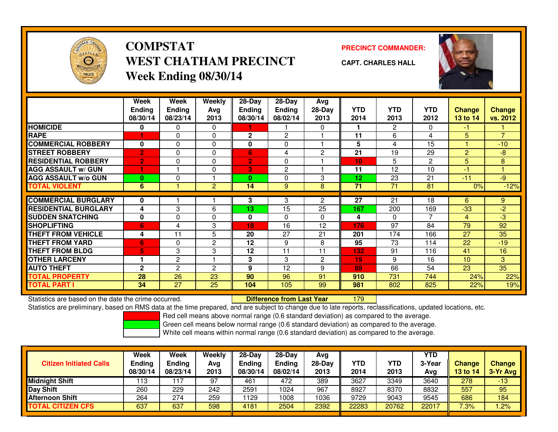

# **COMPSTATWEST CHATHAM PRECINCTWeek Ending 08/30/14**

**PRECINCT COMMANDER:**



**CAPT. CHARLES HALL**

|                             | <b>Week</b><br><b>Ending</b><br>08/30/14 | Week<br>Ending<br>08/23/14 | <b>Weekly</b><br>Ava<br>2013 | $28 - Day$<br>Ending<br>08/30/14 | $28 - Day$<br>Ending<br>08/02/14 | Avg<br>28-Day<br>2013 | <b>YTD</b><br>2014 | <b>YTD</b><br>2013 | <b>YTD</b><br>2012 | <b>Change</b><br>13 to 14 | <b>Change</b><br>vs. 2012 |
|-----------------------------|------------------------------------------|----------------------------|------------------------------|----------------------------------|----------------------------------|-----------------------|--------------------|--------------------|--------------------|---------------------------|---------------------------|
| <b>HOMICIDE</b>             | 0                                        | 0                          | 0                            |                                  |                                  | 0                     |                    | $\overline{2}$     | 0                  | $-1$                      |                           |
| <b>RAPE</b>                 |                                          | $\Omega$                   | $\Omega$                     | $\mathbf{2}$                     | 2                                |                       | 11                 | 6                  | 4                  | 5                         | $\overline{7}$            |
| <b>COMMERCIAL ROBBERY</b>   | 0                                        | $\Omega$                   | $\Omega$                     | $\bf{0}$                         | $\mathbf{0}$                     |                       | 5                  | 4                  | 15                 |                           | $-10$                     |
| <b>STREET ROBBERY</b>       | $\overline{2}$                           | $\Omega$                   | $\Omega$                     | 6                                | 4                                | $\overline{2}$        | 21                 | 19                 | 29                 | 2                         | $-8$                      |
| <b>RESIDENTIAL ROBBERY</b>  | 2                                        | 0                          | 0                            | $\overline{2}$                   | 0                                |                       | 10                 | 5                  | $\mathbf{2}$       | 5                         | 8                         |
| <b>AGG ASSAULT w/ GUN</b>   |                                          |                            | $\Omega$                     | 3                                | $\overline{2}$                   |                       | 11                 | 12                 | 10                 | -1                        |                           |
| <b>AGG ASSAULT w/o GUN</b>  | $\bf{0}$                                 | $\Omega$                   |                              | $\bf{0}$                         | $\mathbf{0}$                     | 3                     | 12                 | 23                 | 21                 | $-11$                     | $-9$                      |
| <b>TOTAL VIOLENT</b>        | 6                                        |                            | $\overline{2}$               | 14                               | 9                                | 8                     | 71                 | 71                 | 81                 | 0%                        | $-12%$                    |
|                             |                                          |                            |                              |                                  |                                  |                       |                    |                    |                    |                           |                           |
| <b>COMMERCIAL BURGLARY</b>  | 0                                        |                            |                              | 3                                | 3                                | $\overline{2}$        | 27                 | 21                 | 18                 | 6                         | 9                         |
| <b>RESIDENTIAL BURGLARY</b> | 4                                        | 3                          | 6                            | 13                               | 15                               | 25                    | 167                | 200                | 169                | $-33$                     | $-2$                      |
| <b>SUDDEN SNATCHING</b>     | 0                                        | $\Omega$                   | $\Omega$                     | $\bf{0}$                         | $\mathbf{0}$                     | $\Omega$              | 4                  | $\Omega$           | 7                  | 4                         | -3                        |
| <b>SHOPLIFTING</b>          | 6                                        | 4                          | 3                            | 18                               | 16                               | 12                    | 176                | 97                 | 84                 | 79                        | 92                        |
| <b>THEFT FROM VEHICLE</b>   | 4                                        | 11                         | 5                            | 20                               | 27                               | 21                    | 201                | 174                | 166                | 27                        | 35                        |
| <b>THEFT FROM YARD</b>      | 6                                        | $\Omega$                   | 2                            | 12                               | 9                                | 8                     | 95                 | 73                 | 114                | 22                        | $-19$                     |
| THEFT FROM BLDG             | 5                                        | 3                          | 3                            | 12                               | 11                               | 11                    | 132                | 91                 | 116                | 41                        | 16                        |
| <b>OTHER LARCENY</b>        |                                          | 2                          |                              | 3                                | 3                                | 2                     | 19                 | 9                  | 16                 | 10                        | 3                         |
| <b>AUTO THEFT</b>           | $\mathbf{2}$                             | $\overline{2}$             | $\overline{c}$               | 9                                | 12                               | 9                     | 89                 | 66                 | 54                 | 23                        | 35                        |
| TOTAL PROPERTY              | 28                                       | 26                         | 23                           | 90                               | 96                               | 91                    | 910                | 731                | 744                | 24%                       | 22%                       |
| TOTAL PART I                | 34                                       | 27                         | 25                           | 104                              | 105                              | 99                    | 981                | 802                | 825                | 22%                       | 19%                       |

Statistics are based on the date the crime occurred. **Difference from Last Year** 

<sup>179</sup>

Statistics are preliminary, based on RMS data at the time prepared, and are subject to change due to late reports, reclassifications, updated locations, etc.

Red cell means above normal range (0.6 standard deviation) as compared to the average.

Green cell means below normal range (0.6 standard deviation) as compared to the average.

| <b>Citizen Initiated Calls</b> | Week<br><b>Ending</b><br>08/30/14 | Week<br><b>Ending</b><br>08/23/14 | Weekly<br>Avg<br>2013 | $28-Day$<br><b>Ending</b><br>08/30/14 | 28-Dav<br><b>Ending</b><br>08/02/14 | Avg<br>$28-Dav$<br>2013 | YTD<br>2014 | YTD<br>2013 | <b>YTD</b><br>3-Year<br>Avg | <b>Change</b><br>13 to 14 | <b>Change</b><br>3-Yr Avg |
|--------------------------------|-----------------------------------|-----------------------------------|-----------------------|---------------------------------------|-------------------------------------|-------------------------|-------------|-------------|-----------------------------|---------------------------|---------------------------|
| <b>Midnight Shift</b>          | 113                               | 17                                | 97                    | 461                                   | 472                                 | 389                     | 3627        | 3349        | 3640                        | 278                       | $-13$                     |
| Day Shift                      | 260                               | 229                               | 242                   | 2591                                  | 1024                                | 967                     | 8927        | 8370        | 8832                        | 557                       | 95                        |
| <b>Afternoon Shift</b>         | 264                               | 274                               | 259                   | 1129                                  | 1008                                | 1036                    | 9729        | 9043        | 9545                        | 686                       | 184                       |
| <b>TOTAL CITIZEN CFS</b>       | 637                               | 637                               | 598                   | 4181                                  | 2504                                | 2392                    | 22283       | 20762       | 22017                       | 7.3%                      | .2%                       |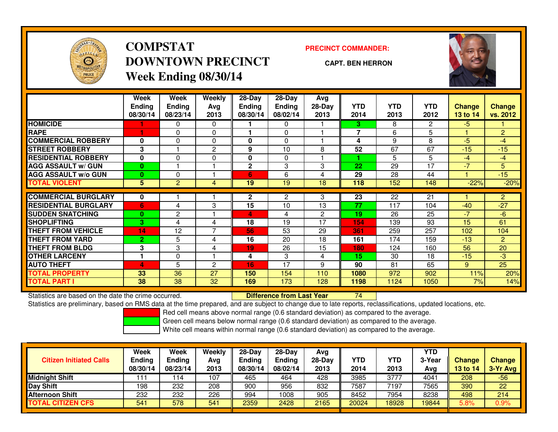

# **COMPSTATDOWNTOWN PRECINCTWeek Ending 08/30/14**

**PRECINCT COMMANDER:**

**CAPT. BEN HERRON**



|                             | <b>Week</b><br><b>Ending</b><br>08/30/14 | <b>Week</b><br><b>Ending</b><br>08/23/14 | <b>Weekly</b><br>Avg<br>2013 | $28-Day$<br><b>Ending</b><br>08/30/14 | 28-Day<br><b>Ending</b><br>08/02/14 | Avg<br>28-Day<br>2013 | <b>YTD</b><br>2014 | <b>YTD</b><br>2013 | YTD<br>2012    | <b>Change</b><br>13 to 14 | <b>Change</b><br>vs. 2012 |
|-----------------------------|------------------------------------------|------------------------------------------|------------------------------|---------------------------------------|-------------------------------------|-----------------------|--------------------|--------------------|----------------|---------------------------|---------------------------|
| <b>HOMICIDE</b>             |                                          | 0                                        | 0                            |                                       | 0                                   |                       | 3.                 | 8                  | $\overline{2}$ | $-5$                      |                           |
| <b>RAPE</b>                 |                                          | $\Omega$                                 | $\Omega$                     |                                       | $\Omega$                            |                       | 7                  | 6                  | 5              |                           | $\overline{2}$            |
| <b>COMMERCIAL ROBBERY</b>   | 0                                        | 0                                        | 0                            | 0                                     | $\Omega$                            |                       | 4                  | 9                  | 8              | $-5$                      | $-4$                      |
| <b>STREET ROBBERY</b>       | 3                                        |                                          | $\overline{c}$               | 9                                     | 10                                  | 8                     | 52                 | 67                 | 67             | $-15$                     | $-15$                     |
| <b>RESIDENTIAL ROBBERY</b>  | $\bf{0}$                                 | $\Omega$                                 | 0                            | 0                                     | $\Omega$                            |                       |                    | 5.                 | 5              | $-4$                      | $-4$                      |
| <b>AGG ASSAULT w/ GUN</b>   | $\bf{0}$                                 |                                          |                              | $\mathbf 2$                           | 3                                   | 3                     | 22                 | 29                 | 17             | $-7$                      | 5.                        |
| <b>AGG ASSAULT w/o GUN</b>  | $\bf{0}$                                 | 0                                        |                              | 6                                     | 6                                   | 4                     | 29                 | 28                 | 44             |                           | $-15$                     |
| <b>TOTAL VIOLENT</b>        | 5                                        | 2                                        | 4                            | 19                                    | $\overline{19}$                     | 18                    | 118                | 152                | 148            | $-22%$                    | $-20%$                    |
| <b>COMMERCIAL BURGLARY</b>  | 0                                        |                                          |                              | $\overline{2}$                        | $\overline{2}$                      | 3                     | 23                 | 22                 | 21             |                           | $\overline{2}$            |
| <b>RESIDENTIAL BURGLARY</b> | 6                                        | 4                                        | 3                            | 15                                    | 10                                  | 13                    | 77                 | 117                | 104            | $-40$                     | $-27$                     |
| <b>SUDDEN SNATCHING</b>     |                                          |                                          |                              |                                       |                                     |                       | 19                 | 26                 | 25             | $-7$                      | $-6$                      |
|                             | $\bf{0}$                                 | 2                                        |                              | 4                                     | 4                                   | $\overline{2}$        |                    |                    |                |                           |                           |
| <b>ISHOPLIFTING</b>         | 3                                        | 4                                        | 4                            | 18                                    | 19                                  | 17                    | 154                | 139                | 93             | 15                        | 61                        |
| <b>THEFT FROM VEHICLE</b>   | 14                                       | 12                                       | 7                            | 56                                    | 53                                  | 29                    | 361                | 259                | 257            | 102                       | 104                       |
| <b>THEFT FROM YARD</b>      | $\overline{2}$                           | 5                                        | 4                            | 16                                    | 20                                  | 18                    | 161                | 174                | 159            | $-13$                     | $\overline{2}$            |
| <b>THEFT FROM BLDG</b>      | 3                                        | 3                                        | 4                            | 19                                    | 26                                  | 15                    | 180                | 124                | 160            | 56                        | 20                        |
| <b>OTHER LARCENY</b>        | 1                                        | 0                                        |                              | 4                                     | 3                                   | 4                     | 15                 | 30                 | 18             | $-15$                     | $-3$                      |
| <b>AUTO THEFT</b>           | 4                                        | 5                                        | $\overline{c}$               | 16                                    | 17                                  | 9                     | 90                 | 81                 | 65             | 9                         | 25                        |
| <b>TOTAL PROPERTY</b>       | 33                                       | 36                                       | 27                           | 150                                   | 154                                 | 110                   | 1080               | 972                | 902            | 11%                       | 20%                       |
| <b>TOTAL PART I</b>         | 38                                       | 38                                       | 32                           | 169                                   | 173                                 | 128                   | 1198               | 1124               | 1050           | 7%                        | 14%                       |

Statistics are based on the date the crime occurred. **Difference from Last Year** 

Statistics are based on the date the crime occurred. **Difference from Last Year 2006** The based on the date the crime occurred.<br>Statistics are preliminary, based on RMS data at the time prepared, and are subject to change

Red cell means above normal range (0.6 standard deviation) as compared to the average.

Green cell means below normal range (0.6 standard deviation) as compared to the average.

| <b>Citizen Initiated Calls</b> | Week<br><b>Ending</b><br>08/30/14 | Week<br><b>Ending</b><br>08/23/14 | Weekly<br>Avg<br>2013 | $28-Day$<br><b>Ending</b><br>08/30/14 | 28-Day<br><b>Ending</b><br>08/02/14 | Avg<br>$28-Dav$<br>2013 | <b>YTD</b><br>2014 | YTD<br>2013 | YTD<br>3-Year<br>Ava | <b>Change</b><br>13 to 14 | Change<br>3-Yr Avg |
|--------------------------------|-----------------------------------|-----------------------------------|-----------------------|---------------------------------------|-------------------------------------|-------------------------|--------------------|-------------|----------------------|---------------------------|--------------------|
| Midnight Shift                 | 111                               | ' 14                              | 107                   | 465                                   | 464                                 | 428                     | 3985               | 3777        | 4041                 | 208                       | $-56$              |
| Day Shift                      | 198                               | 232                               | 208                   | 900                                   | 956                                 | 832                     | 7587               | 7197        | 7565                 | 390                       | 22                 |
| <b>Afternoon Shift</b>         | 232                               | 232                               | 226                   | 994                                   | 1008                                | 905                     | 8452               | 7954        | 8238                 | 498                       | 214                |
| <b>TOTAL CITIZEN CFS</b>       | 541                               | 578                               | 541                   | 2359                                  | 2428                                | 2165                    | 20024              | 18928       | 19844                | 5.8%                      | 0.9%               |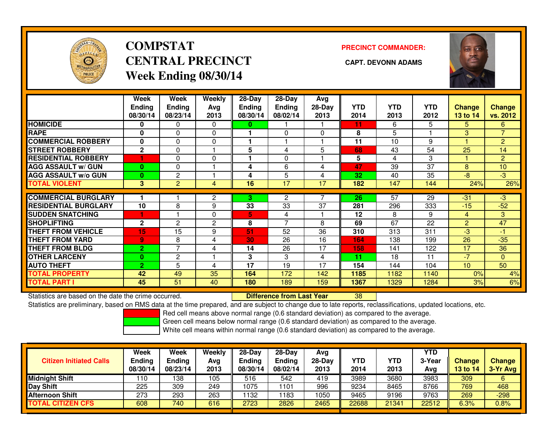

# **COMPSTATCENTRAL PRECINCT CAPT. DEVONN ADAMSWeek Ending 08/30/14**

**PRECINCT COMMANDER:**



|                             | Week           | Week                     | Weekly         | 28-Day        | $28-Day$      | Avg      |      |            |            |                |                |
|-----------------------------|----------------|--------------------------|----------------|---------------|---------------|----------|------|------------|------------|----------------|----------------|
|                             | <b>Ending</b>  | <b>Ending</b>            | Avg            | <b>Ending</b> | <b>Ending</b> | $28-Day$ | YTD. | <b>YTD</b> | <b>YTD</b> | Change         | <b>Change</b>  |
|                             | 08/30/14       | 08/23/14                 | 2013           | 08/30/14      | 08/02/14      | 2013     | 2014 | 2013       | 2012       | 13 to 14       | vs. 2012       |
| <b>HOMICIDE</b>             | 0              | 0                        | $\Omega$       | 0             |               |          | 11   | 6          | 5          | 5              | 6              |
| <b>RAPE</b>                 | 0              | 0                        | $\Omega$       |               | 0             | $\Omega$ | 8    | 5          |            | 3              | $\overline{7}$ |
| <b>COMMERCIAL ROBBERY</b>   | $\mathbf{0}$   | $\Omega$                 | $\Omega$       |               |               |          | 11   | 10         | 9          |                | $\overline{2}$ |
| <b>STREET ROBBERY</b>       | $\mathbf{2}$   | 0                        |                | 5             | 4             | 5        | 68   | 43         | 54         | 25             | 14             |
| <b>RESIDENTIAL ROBBERY</b>  |                | 0                        | 0              |               | 0             |          | 5    | 4          | 3          | -1             | $\overline{2}$ |
| <b>AGG ASSAULT w/ GUN</b>   | $\bf{0}$       | $\Omega$                 |                | 4             | 6             | 4        | 47   | 39         | 37         | 8              | 10             |
| <b>AGG ASSAULT w/o GUN</b>  | $\bf{0}$       | 2                        |                | 4             | 5             | 4        | 32   | 40         | 35         | $-8$           | $\overline{3}$ |
| <b>TOTAL VIOLENT</b>        | 3              | $\overline{2}$           | 4              | 16            | 17            | 17       | 182  | 147        | 144        | 24%            | 26%            |
|                             |                |                          |                |               |               |          | 26   | 57         |            |                |                |
| <b>COMMERCIAL BURGLARY</b>  |                |                          | 2              | 3.            | 2             |          |      |            | 29         | $-31$          | $-3$           |
| <b>RESIDENTIAL BURGLARY</b> | 10             | 8                        | 9              | 33            | 33            | 37       | 281  | 296        | 333        | $-15$          | $-52$          |
| <b>ISUDDEN SNATCHING</b>    |                |                          | $\Omega$       | 5.            | 4             |          | 12   | 8          | 9          | $\overline{4}$ | 3              |
| <b>SHOPLIFTING</b>          | $\mathbf{2}$   | 2                        | $\overline{c}$ | 8             | 7             | 8        | 69   | 67         | 22         | $\overline{2}$ | 47             |
| <b>THEFT FROM VEHICLE</b>   | 15             | 15                       | 9              | 51            | 52            | 36       | 310  | 313        | 311        | $-3$           | $-1$           |
| <b>THEFT FROM YARD</b>      | 9              | 8                        | 4              | 30            | 26            | 16       | 164  | 138        | 199        | 26             | $-35$          |
| <b>THEFT FROM BLDG</b>      | $\overline{2}$ | $\overline{\phantom{a}}$ | 4              | 14            | 26            | 17       | 158  | 141        | 122        | 17             | 36             |
| <b>OTHER LARCENY</b>        | $\bf{0}$       | $\overline{2}$           |                | 3             | 3             | 4        | 11   | 18         | 11         | $-7$           | $\overline{0}$ |
| <b>AUTO THEFT</b>           | $\overline{2}$ | 5                        | 4              | 17            | 19            | 17       | 154  | 144        | 104        | 10             | 50             |
| <b>TOTAL PROPERTY</b>       | 42             | 49                       | 35             | 164           | 172           | 142      | 1185 | 1182       | 1140       | 0%             | 4%             |
| <b>TOTAL PART I</b>         | 45             | 51                       | 40             | 180           | 189           | 159      | 1367 | 1329       | 1284       | 3%             | 6%             |

Statistics are based on the date the crime occurred. **Difference from Last Year** 

Statistics are based on the date the crime occurred. **Difference from Last Year Net archicle Statistics** are based on the date trime occurred.<br>Statistics are preliminary, based on RMS data at the time prepared, and are sub

Red cell means above normal range (0.6 standard deviation) as compared to the average.

Green cell means below normal range (0.6 standard deviation) as compared to the average.

| <b>Citizen Initiated Calls</b> | Week<br><b>Ending</b><br>08/30/14 | Week<br><b>Ending</b><br>08/23/14 | Weekly<br>Avg<br>2013 | $28-Day$<br><b>Ending</b><br>08/30/14 | $28$ -Day<br><b>Ending</b><br>08/02/14 | Avg<br>28-Day<br>2013 | YTD<br>2014 | YTD<br>2013 | <b>YTD</b><br>3-Year<br>Avg | <b>Change</b><br>13 to 14 | <b>Change</b><br>3-Yr Avg |
|--------------------------------|-----------------------------------|-----------------------------------|-----------------------|---------------------------------------|----------------------------------------|-----------------------|-------------|-------------|-----------------------------|---------------------------|---------------------------|
| <b>Midnight Shift</b>          | 110                               | 138                               | 105                   | 516                                   | 542                                    | 419                   | 3989        | 3680        | 3983                        | 309                       | 6                         |
| Day Shift                      | 225                               | 309                               | 249                   | 1075                                  | 1101                                   | 996                   | 9234        | 8465        | 8766                        | 769                       | 468                       |
| Afternoon Shift                | 273                               | 293                               | 263                   | 1132                                  | 183                                    | 1050                  | 9465        | 9196        | 9763                        | 269                       | $-298$                    |
| <b>TOTAL CITIZEN CFS</b>       | 608                               | 740                               | 616                   | 2723                                  | 2826                                   | 2465                  | 22688       | 21341       | 22512                       | 6.3%                      | 0.8%                      |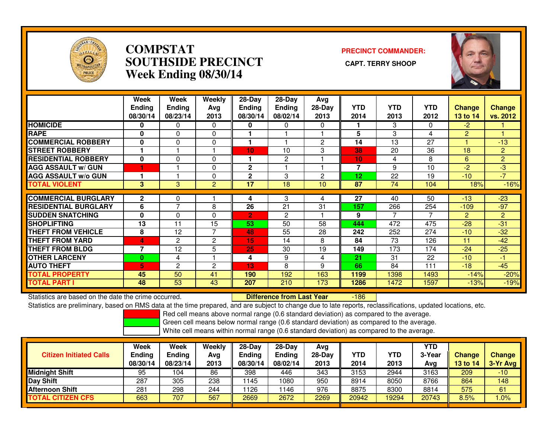

### **COMPSTAT PRECINCT COMMANDER: SOUTHSIDE PRECINCT CAPT. TERRY SHOOPWeek Ending 08/30/14**



|                             | Week<br><b>Ending</b><br>08/30/14 | Week<br><b>Ending</b><br>08/23/14 | Weekly<br>Ava<br>2013 | 28-Day<br><b>Ending</b><br>08/30/14 | 28-Day<br><b>Ending</b><br>08/02/14 | Avg<br>$28-Day$<br>2013 | <b>YTD</b><br>2014 | <b>YTD</b><br>2013 | <b>YTD</b><br>2012 | <b>Change</b><br>13 to 14 | <b>Change</b><br>vs. 2012 |
|-----------------------------|-----------------------------------|-----------------------------------|-----------------------|-------------------------------------|-------------------------------------|-------------------------|--------------------|--------------------|--------------------|---------------------------|---------------------------|
| <b>HOMICIDE</b>             | 0                                 | $\mathbf{0}$                      | $\Omega$              | $\bf{0}$                            | $\Omega$                            | $\Omega$                |                    | 3                  | 0                  | $-2$                      |                           |
| <b>RAPE</b>                 | 0                                 | $\Omega$                          | 0                     |                                     |                                     |                         | 5                  | 3                  | 4                  | $\overline{2}$            |                           |
| <b>COMMERCIAL ROBBERY</b>   | $\bf{0}$                          | $\Omega$                          | $\mathbf{0}$          |                                     |                                     | $\overline{c}$          | 14                 | 13                 | 27                 |                           | $-13$                     |
| <b>STREET ROBBERY</b>       |                                   |                                   |                       | 10 <sub>1</sub>                     | 10                                  | 3                       | 38                 | 20                 | 36                 | 18                        | $\overline{2}$            |
| <b>RESIDENTIAL ROBBERY</b>  | $\mathbf 0$                       | 0                                 | $\Omega$              |                                     | 2                                   |                         | 10                 | 4                  | 8                  | 6                         | $\overline{2}$            |
| <b>AGG ASSAULT w/ GUN</b>   |                                   |                                   | $\mathbf{0}$          | $\mathbf{2}$                        |                                     |                         | 7                  | 9                  | 10                 | -2                        | -3                        |
| <b>AGG ASSAULT w/o GUN</b>  |                                   |                                   | 0                     | $\mathbf{2}$                        | 3                                   | 2                       | 12                 | 22                 | 19                 | $-10^{-1}$                | $-7$                      |
| <b>TOTAL VIOLENT</b>        | 3                                 | 3                                 | $\overline{2}$        | 17                                  | 18                                  | 10                      | 87                 | 74                 | 104                | 18%                       | $-16%$                    |
| <b>COMMERCIAL BURGLARY</b>  | $\mathbf{2}$                      | 0                                 |                       | 4                                   | 3                                   | 4                       | 27                 | 40                 | 50                 | $-13$                     | $-23$                     |
| <b>RESIDENTIAL BURGLARY</b> | 6                                 | ⇁                                 | 8                     | 26                                  | 21                                  | 31                      | 157                | 266                | 254                | $-109$                    | $-97$                     |
| <b>ISUDDEN SNATCHING</b>    | $\bf{0}$                          | $\Omega$                          | $\Omega$              | $\overline{2}$                      | $\overline{2}$                      |                         | 9                  |                    | 7                  | $\overline{2}$            | $\overline{2}$            |
| <b>SHOPLIFTING</b>          | 13                                | 11                                | 15                    | 53                                  | 50                                  | 58                      | 444                | 472                | 475                | $-28$                     | $-31$                     |
| <b>THEFT FROM VEHICLE</b>   | 8                                 | 12                                | $\overline{7}$        | 48                                  | 55                                  | 28                      | 242                | 252                | 274                | $-10$                     | $-32$                     |
| <b>THEFT FROM YARD</b>      | 4                                 | $\overline{c}$                    | $\overline{c}$        | 15                                  | 14                                  | 8                       | 84                 | 73                 | 126                | 11                        | $-42$                     |
| <b>THEFT FROM BLDG</b>      | 7                                 | 12                                | 5                     | 25                                  | 30                                  | 19                      | 149                | 173                | 174                | $-24$                     | $-25$                     |
| <b>OTHER LARCENY</b>        | $\bf{0}$                          | 4                                 |                       | 4                                   | 9                                   | 4                       | 21                 | 31                 | 22                 | $-10^{-}$                 | $-1$                      |
| <b>AUTO THEFT</b>           | 5                                 | 2                                 | 2                     | 13                                  | 8                                   | 9                       | 66                 | 84                 | 111                | $-18$                     | $-45$                     |
| <b>TOTAL PROPERTY</b>       | 45                                | 50                                | 41                    | 190                                 | 192                                 | 163                     | 1199               | 1398               | 1493               | $-14%$                    | $-20%$                    |
| <b>TOTAL PART I</b>         | 48                                | 53                                | 43                    | 207                                 | 210                                 | 173                     | 1286               | 1472               | 1597               | $-13%$                    | $-19%$                    |

Statistics are based on the date the crime occurred. **Difference from Last Year** 

-186

Statistics are preliminary, based on RMS data at the time prepared, and are subject to change due to late reports, reclassifications, updated locations, etc.

Red cell means above normal range (0.6 standard deviation) as compared to the average.

Green cell means below normal range (0.6 standard deviation) as compared to the average.

| Week     | Week     | Weekly        | $28-Day$ | 28-Dav        | Avg<br>28-Dav | YTD   | YTD   | <b>YTD</b><br>3-Year |            | <b>Change</b> |
|----------|----------|---------------|----------|---------------|---------------|-------|-------|----------------------|------------|---------------|
| 08/30/14 | 08/23/14 | 2013          | 08/30/14 | 08/02/14      | 2013          | 2014  | 2013  | Avg                  | 13 to $14$ | 3-Yr Avg      |
| 95       | 104      | 86            | 398      | 446           | 343           | 3153  | 2944  | 3163                 | 209        | $-10$         |
| 287      | 305      | 238           | 1145     | 1080          | 950           | 8914  | 8050  | 8766                 | 864        | 148           |
| 281      | 298      | 244           | 1126     | 146           | 976           | 8875  | 8300  | 8814                 | 575        | 61            |
| 663      | 707      | 567           | 2669     | 2672          | 2269          | 20942 | 19294 | 20743                | 8.5%       | .0%           |
|          | Ending   | <b>Ending</b> | Avg      | <b>Ending</b> | <b>Ending</b> |       |       |                      |            | <b>Change</b> |